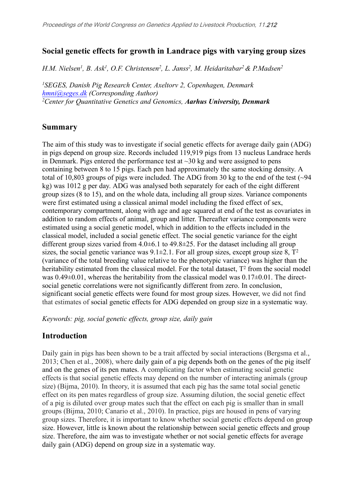# **Social genetic effects for growth in Landrace pigs with varying group sizes**

H.M. Nielsen<sup>1</sup>, B. Ask<sup>1</sup>, O.F. Christensen<sup>2</sup>, L. Janss<sup>2</sup>, M. Heidaritabar<sup>2</sup> & P.Madsen<sup>2</sup>

*<sup>1</sup>SEGES, Danish Pig Research Center, Axeltorv 2, Copenhagen, Denmark [hmni@seges.dk](mailto:hmni@seges.dk) (Corresponding Author) <sup>2</sup>[Center](http://mbg.au.dk/en/) [for](http://mbg.au.dk/en/) [Quantitative](http://mbg.au.dk/en/) [Genetics](http://mbg.au.dk/en/) [and](http://mbg.au.dk/en/) [Genomics,](http://mbg.au.dk/en/) Aarhus University, Denmark*

### **Summary**

The aim of this study was to investigate if social genetic effects for average daily gain (ADG) in pigs depend on group size. Records included 119,919 pigs from 13 nucleus Landrace herds in Denmark. Pigs entered the performance test at  $\sim$ 30 kg and were assigned to pens containing between 8 to 15 pigs. Each pen had approximately the same stocking density. A total of 10,803 groups of pigs were included. The ADG from 30 kg to the end of the test (~94 kg) was 1012 g per day. ADG was analysed both separately for each of the eight different group sizes (8 to 15), and on the whole data, including all group sizes. Variance components were first estimated using a classical animal model including the fixed effect of sex, contemporary compartment, along with age and age squared at end of the test as covariates in addition to random effects of animal, group and litter. Thereafter variance components were estimated using a social genetic model, which in addition to the effects included in the classical model, included a social genetic effect. The social genetic variance for the eight different group sizes varied from  $4.0\pm6.1$  to  $49.8\pm25$ . For the dataset including all group sizes, the social genetic variance was  $9.1\pm2.1$ . For all group sizes, except group size  $8$ ,  $T^2$ (variance of the total breeding value relative to the phenotypic variance) was higher than the heritability estimated from the classical model. For the total dataset,  $T^2$  from the social model was 0.49±0.01, whereas the heritability from the classical model was 0.17±0.01. The directsocial genetic correlations were not significantly different from zero. In conclusion, significant social genetic effects were found for most group sizes. However, we did not find that estimates of social genetic effects for ADG depended on group size in a systematic way.

*Keywords: pig, social genetic effects, group size, daily gain*

# **Introduction**

Daily gain in pigs has been shown to be a trait affected by social interactions (Bergsma et al., 2013; Chen et al., 2008), where daily gain of a pig depends both on the genes of the pig itself and on the genes of its pen mates. A complicating factor when estimating social genetic effects is that social genetic effects may depend on the number of interacting animals (group size) (Bijma, 2010). In theory, it is assumed that each pig has the same total social genetic effect on its pen mates regardless of group size. Assuming dilution, the social genetic effect of a pig is diluted over group mates such that the effect on each pig is smaller than in small groups (Bijma, 2010; Canario et al., 2010). In practice, pigs are housed in pens of varying group sizes. Therefore, it is important to know whether social genetic effects depend on group size. However, little is known about the relationship between social genetic effects and group size. Therefore, the aim was to investigate whether or not social genetic effects for average daily gain (ADG) depend on group size in a systematic way.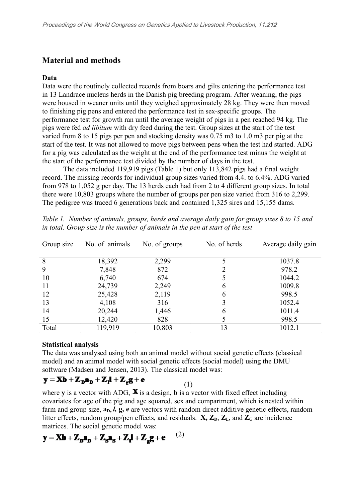## **Material and methods**

#### **Data**

Data were the routinely collected records from boars and gilts entering the performance test in 13 Landrace nucleus herds in the Danish pig breeding program. After weaning, the pigs were housed in weaner units until they weighed approximately 28 kg. They were then moved to finishing pig pens and entered the performance test in sex-specific groups. The performance test for growth ran until the average weight of pigs in a pen reached 94 kg. The pigs were fed *ad libitum* with dry feed during the test. Group sizes at the start of the test varied from 8 to 15 pigs per pen and stocking density was 0.75 m3 to 1.0 m3 per pig at the start of the test. It was not allowed to move pigs between pens when the test had started. ADG for a pig was calculated as the weight at the end of the performance test minus the weight at the start of the performance test divided by the number of days in the test.

The data included 119,919 pigs (Table 1) but only 113,842 pigs had a final weight record. The missing records for individual group sizes varied from 4.4. to 6.4%. ADG varied from 978 to 1,052 g per day. The 13 herds each had from 2 to 4 different group sizes. In total there were 10,803 groups where the number of groups per pen size varied from 316 to 2,299. The pedigree was traced 6 generations back and contained 1,325 sires and 15,155 dams.

| Group size | No. of animals | No. of groups | No. of herds | Average daily gain |  |
|------------|----------------|---------------|--------------|--------------------|--|
|            |                |               |              |                    |  |
| 8          | 18,392         | 2,299         |              | 1037.8             |  |
| 9          | 7,848          | 872           |              | 978.2              |  |
| 10         | 6,740          | 674           |              | 1044.2             |  |
| 11         | 24,739         | 2,249         | 6            | 1009.8             |  |
| 12         | 25,428         | 2,119         | 6            | 998.5              |  |
| 13         | 4,108          | 316           |              | 1052.4             |  |
| 14         | 20,244         | 1,446         | 6            | 1011.4             |  |
| 15         | 12,420         | 828           |              | 998.5              |  |
| Total      | 119,919        | 10,803        | 13           | 1012.1             |  |

*Table 1. Number of animals, groups, herds and average daily gain for group sizes 8 to 15 and in total. Group size is the number of animals in the pen at start of the test*

#### **Statistical analysis**

The data was analysed using both an animal model without social genetic effects (classical model) and an animal model with social genetic effects (social model) using the DMU software (Madsen and Jensen, 2013). The classical model was:

$$
\mathbf{y} = \mathbf{X}\mathbf{b} + \mathbf{Z}_{\mathbf{D}}\mathbf{a}_{\mathbf{D}} + \mathbf{Z}_{\mathbf{I}}\mathbf{l} + \mathbf{Z}_{\mathbf{g}}\mathbf{g} + \mathbf{e}
$$
 (1)

where **y** is a vector with ADG,  $\mathbf{X}$  is a design, **b** is a vector with fixed effect including covariates for age of the pig and age squared, sex and compartment, which is nested within farm and group size,  $a_D$ ,  $l$ ,  $g$ ,  $e$  are vectors with random direct additive genetic effects, random litter effects, random group/pen effects, and residuals.  $\mathbf{X}, \mathbf{Z}_D, \mathbf{Z}_L$ , and  $\mathbf{Z}_G$  are incidence matrices. The social genetic model was:

$$
\mathbf{y} = \mathbf{X}\mathbf{b} + \mathbf{Z}_{\mathbf{p}}\mathbf{a}_{\mathbf{p}} + \mathbf{Z}_{\mathbf{S}}\mathbf{a}_{\mathbf{S}} + \mathbf{Z}_{\mathbf{r}}\mathbf{l} + \mathbf{Z}_{\mathbf{z}}\mathbf{g} + \mathbf{e} \qquad (2)
$$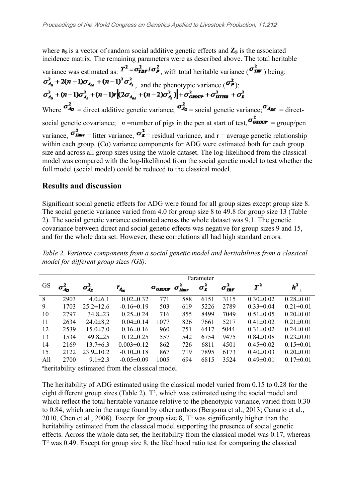where  $\mathbf{a}_s$  is a vector of random social additive genetic effects and  $\mathbf{Z}_s$  is the associated incidence matrix. The remaining parameters were as described above. The total heritable variance was estimated as:  $T^2 = \sigma_{\text{IBF}}^2 / \sigma_{P}^2$ , with total heritable variance  $(\sigma_{\text{IBF}}^2)$  being:  $\sigma_{A_n}^2$  + 2(n - 1) $\sigma_{A_m}$  + (n - 1)<sup>2</sup> $\sigma_{A_n}^2$ , and the phenotypic variance ( $\sigma_P^2$ ):<br>  $\sigma_{A_n}^2$  + (n - 1) $\sigma_{A_n}^2$  + (n - 1) $\sigma$  (2 $\sigma_{A_m}$  + (n - 2) $\sigma_{A_n}^2$ ) +  $\sigma_{GDODF}^2$  +  $\sigma_{BTOF}^2$  +  $\sigma_F^2$ Where  $\sigma_{4p}^2$  = direct additive genetic variance;  $\sigma_{4s}^2$  = social genetic variance;  $\sigma_{4ps}$  = directsocial genetic covariance; *n* = number of pigs in the pen at start of test,  $\sigma_{\text{GLOCP}}^2 = \text{group/pen}$ variance,  $\sigma_{\text{Lip}}^2 =$  litter variance,  $\sigma_{\text{Lip}}^2$  = residual variance, and r = average genetic relationship within each group. (Co) variance components for ADG were estimated both for each group size and across all group sizes using the whole dataset. The log-likelihood from the classical model was compared with the log-likelihood from the social genetic model to test whether the full model (social model) could be reduced to the classical model.

## **Results and discussion**

Significant social genetic effects for ADG were found for all group sizes except group size 8. The social genetic variance varied from 4.0 for group size 8 to 49.8 for group size 13 (Table 2). The social genetic variance estimated across the whole dataset was 9.1. The genetic covariance between direct and social genetic effects was negative for group sizes 9 and 15, and for the whole data set. However, these correlations all had high standard errors.

|           |                  | Parameter        |                    |                      |                                                           |                    |                     |                 |                         |  |
|-----------|------------------|------------------|--------------------|----------------------|-----------------------------------------------------------|--------------------|---------------------|-----------------|-------------------------|--|
| <b>GS</b> | $\sigma_{A_D}^2$ | $\sigma_{A_S}^2$ | $r_{A_{\rm{esc}}}$ | $\sigma_{\rm GLOUP}$ | $\sigma_{\scriptscriptstyle L\!I\!I\!I\!I\!I\!I\!I\!I}^2$ | $\sigma_{\bf r}^2$ | $\sigma_{\rm HF}^2$ | $T^2$           | $h^2$<br>$\overline{a}$ |  |
| 8         | 2903             | $4.0 \pm 6.1$    | $0.02 \pm 0.32$    | 771                  | 588                                                       | 6151               | 3115                | $0.30 \pm 0.02$ | $0.28 \pm 0.01$         |  |
| 9         | 1703             | $25.2 \pm 12.6$  | $-0.16\pm0.19$     | 503                  | 619                                                       | 5226               | 2789                | $0.33 \pm 0.04$ | $0.21 \pm 0.01$         |  |
| 10        | 2797             | $34.8 \pm 23$    | $0.25 \pm 0.24$    | 716                  | 855                                                       | 8499               | 7049                | $0.51 \pm 0.05$ | $0.20 \pm 0.01$         |  |
| 11        | 2634             | $24.0 \pm 8.2$   | $0.04 \pm 0.14$    | 1077                 | 826                                                       | 7661               | 5217                | $0.41 \pm 0.02$ | $0.21 \pm 0.01$         |  |
| 12        | 2539             | $15.0 \pm 7.0$   | $0.16 \pm 0.16$    | 960                  | 751                                                       | 6417               | 5044                | $0.31 \pm 0.02$ | $0.24 \pm 0.01$         |  |
| 13        | 1534             | $49.8 \pm 25$    | $0.12 \pm 0.25$    | 557                  | 542                                                       | 6754               | 9475                | $0.84 \pm 0.08$ | $0.23 \pm 0.01$         |  |
| 14        | 2169             | $13.7 \pm 6.3$   | $0.003 \pm 0.12$   | 862                  | 726                                                       | 6811               | 4501                | $0.45 \pm 0.02$ | $0.15 \pm 0.01$         |  |
| 15        | 2122             | $23.9 \pm 10.2$  | $-0.10 \pm 0.18$   | 867                  | 719                                                       | 7895               | 6173                | $0.40 \pm 0.03$ | $0.20 \pm 0.01$         |  |
| All       | 2700             | $9.1 \pm 2.3$    | $-0.05 \pm 0.09$   | 1005                 | 694                                                       | 6815               | 3524                | $0.49 \pm 0.01$ | $0.17 \pm 0.01$         |  |

*Table 2. Variance components from a social genetic model and heritabilities from a classical model for different group sizes (GS).*

<sup>a</sup>heritability estimated from the classical model

The heritability of ADG estimated using the classical model varied from 0.15 to 0.28 for the eight different group sizes (Table 2). T<sup>2</sup>, which was estimated using the social model and which reflect the total heritable variance relative to the phenotypic variance, varied from 0.30 to 0.84, which are in the range found by other authors (Bergsma et al., 2013; Canario et al., 2010, Chen et al., 2008). Except for group size  $8$ ,  $T^2$  was significantly higher than the heritability estimated from the classical model supporting the presence of social genetic effects. Across the whole data set, the heritability from the classical model was 0.17, whereas T<sup>2</sup> was 0.49. Except for group size 8, the likelihood ratio test for comparing the classical